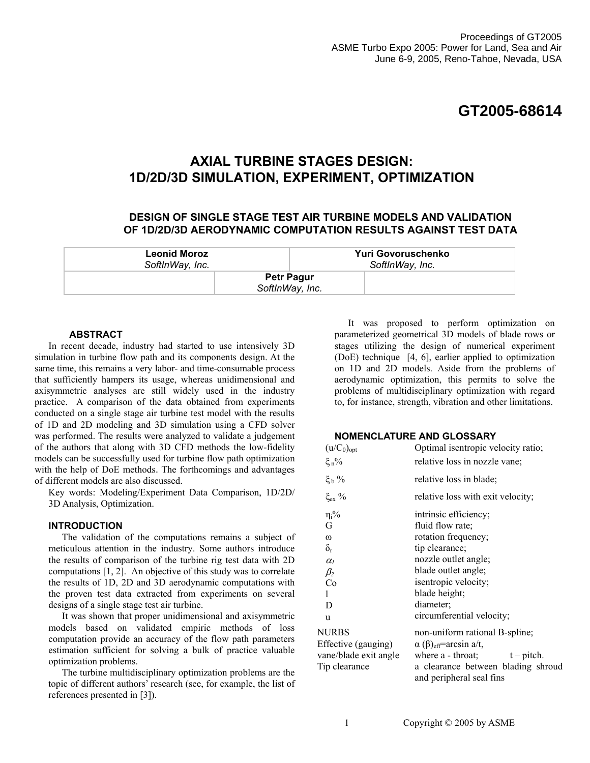# **GT2005-68614**

## **AXIAL TURBINE STAGES DESIGN: 1D/2D/3D SIMULATION, EXPERIMENT, OPTIMIZATION**

## **DESIGN OF SINGLE STAGE TEST AIR TURBINE MODELS AND VALIDATION OF 1D/2D/3D AERODYNAMIC COMPUTATION RESULTS AGAINST TEST DATA**

| <b>Leonid Moroz</b><br>SoftInWay, Inc. |                                      | Yuri Govoruschenko<br>SoftInWay, Inc. |  |
|----------------------------------------|--------------------------------------|---------------------------------------|--|
|                                        | <b>Petr Pagur</b><br>SoftInWay, Inc. |                                       |  |

## **ABSTRACT**

In recent decade, industry had started to use intensively 3D simulation in turbine flow path and its components design. At the same time, this remains a very labor- and time-consumable process that sufficiently hampers its usage, whereas unidimensional and axisymmetric analyses are still widely used in the industry practice. A comparison of the data obtained from experiments conducted on a single stage air turbine test model with the results of 1D and 2D modeling and 3D simulation using a CFD solver was performed. The results were analyzed to validate a judgement of the authors that along with 3D CFD methods the low-fidelity models can be successfully used for turbine flow path optimization with the help of DoE methods. The forthcomings and advantages of different models are also discussed.

Key words: Modeling/Experiment Data Comparison, 1D/2D/ 3D Analysis, Optimization.

## **INTRODUCTION**

The validation of the computations remains a subject of meticulous attention in the industry. Some authors introduce the results of comparison of the turbine rig test data with 2D computations [1, 2]. An objective of this study was to correlate the results of 1D, 2D and 3D aerodynamic computations with the proven test data extracted from experiments on several designs of a single stage test air turbine.

It was shown that proper unidimensional and axisymmetric models based on validated empiric methods of loss computation provide an accuracy of the flow path parameters estimation sufficient for solving a bulk of practice valuable optimization problems.

The turbine multidisciplinary optimization problems are the topic of different authors' research (see, for example, the list of references presented in [3]).

It was proposed to perform optimization on parameterized geometrical 3D models of blade rows or stages utilizing the design of numerical experiment (DoE) technique [4, 6], earlier applied to optimization on 1D and 2D models. Aside from the problems of aerodynamic optimization, this permits to solve the problems of multidisciplinary optimization with regard to, for instance, strength, vibration and other limitations.

#### **NOMENCLATURE AND GLOSSARY**

| $(u/C_0)_{opt}$       | Optimal isentropic velocity ratio;               |  |  |  |
|-----------------------|--------------------------------------------------|--|--|--|
| $\xi_n$ %             | relative loss in nozzle vane;                    |  |  |  |
| $\xi_b$ %             | relative loss in blade;                          |  |  |  |
| $\xi_{ex}$ %          | relative loss with exit velocity;                |  |  |  |
| $\eta_i$ %            | intrinsic efficiency;                            |  |  |  |
| G                     | fluid flow rate;                                 |  |  |  |
| $\omega$              | rotation frequency;                              |  |  |  |
| $\delta_{\rm r}$      | tip clearance;                                   |  |  |  |
| $\alpha$ <sub>l</sub> | nozzle outlet angle;                             |  |  |  |
| $\beta_2$             | blade outlet angle;                              |  |  |  |
| Co                    | isentropic velocity;                             |  |  |  |
| 1                     | blade height;                                    |  |  |  |
| D                     | diameter;                                        |  |  |  |
| u                     | circumferential velocity;                        |  |  |  |
| NURBS                 | non-uniform rational B-spline;                   |  |  |  |
| Effective (gauging)   | $\alpha$ ( $\beta$ ) <sub>eff</sub> =arcsin a/t, |  |  |  |
| vane/blade exit angle | where $a - throat$ ; $t - pitch$ .               |  |  |  |
| Tip clearance         | a clearance between blading shroud               |  |  |  |
|                       | and peripheral seal fins                         |  |  |  |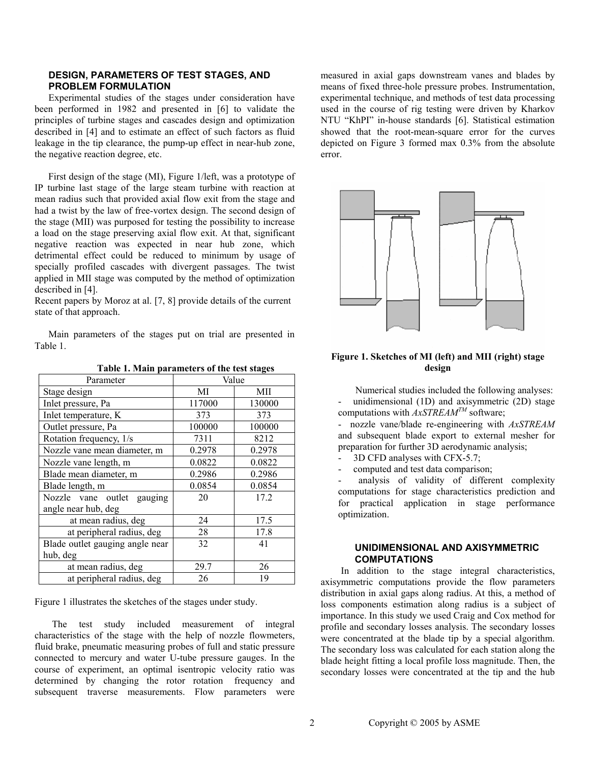## **DESIGN, PARAMETERS OF TEST STAGES, AND PROBLEM FORMULATION**

Experimental studies of the stages under consideration have been performed in 1982 and presented in [6] to validate the principles of turbine stages and cascades design and optimization described in [4] and to estimate an effect of such factors as fluid leakage in the tip clearance, the pump-up effect in near-hub zone, the negative reaction degree, etc.

First design of the stage (MI), Figure 1/left, was a prototype of IP turbine last stage of the large steam turbine with reaction at mean radius such that provided axial flow exit from the stage and had a twist by the law of free-vortex design. The second design of the stage (MII) was purposed for testing the possibility to increase a load on the stage preserving axial flow exit. At that, significant negative reaction was expected in near hub zone, which detrimental effect could be reduced to minimum by usage of specially profiled cascades with divergent passages. The twist applied in MII stage was computed by the method of optimization described in [4].

Recent papers by Moroz at al. [7, 8] provide details of the current state of that approach.

Main parameters of the stages put on trial are presented in Table 1.

| Parameter                       | Value  |        |  |  |
|---------------------------------|--------|--------|--|--|
| Stage design                    | МI     | МII    |  |  |
| Inlet pressure, Pa              | 117000 | 130000 |  |  |
| Inlet temperature, K            | 373    | 373    |  |  |
| Outlet pressure, Pa             | 100000 | 100000 |  |  |
| Rotation frequency, 1/s         | 7311   | 8212   |  |  |
| Nozzle vane mean diameter, m    | 0.2978 | 0.2978 |  |  |
| Nozzle vane length, m           | 0.0822 | 0.0822 |  |  |
| Blade mean diameter, m          | 0.2986 | 0.2986 |  |  |
| Blade length, m                 | 0.0854 | 0.0854 |  |  |
| Nozzle vane outlet<br>gauging   | 20     | 17.2   |  |  |
| angle near hub, deg             |        |        |  |  |
| at mean radius, deg             | 24     | 17.5   |  |  |
| at peripheral radius, deg       | 28     | 17.8   |  |  |
| Blade outlet gauging angle near | 32     | 41     |  |  |
| hub, deg                        |        |        |  |  |

at mean radius, deg 29.7 26 at peripheral radius, deg  $\begin{array}{|c|c|c|c|c|c|} \hline 26 & 19 \end{array}$ 

**Table 1. Main parameters of the test stages** 

Figure 1 illustrates the sketches of the stages under study.

The test study included measurement of integral characteristics of the stage with the help of nozzle flowmeters, fluid brake, pneumatic measuring probes of full and static pressure connected to mercury and water U-tube pressure gauges. In the course of experiment, an optimal isentropic velocity ratio was determined by changing the rotor rotation frequency and subsequent traverse measurements. Flow parameters were

measured in axial gaps downstream vanes and blades by means of fixed three-hole pressure probes. Instrumentation, experimental technique, and methods of test data processing used in the course of rig testing were driven by Kharkov NTU "KhPI" in-house standards [6]. Statistical estimation showed that the root-mean-square error for the curves depicted on Figure 3 formed max 0.3% from the absolute error.



## **Figure 1. Sketches of MI (left) and MII (right) stage design**

Numerical studies included the following analyses:

unidimensional  $(1D)$  and axisymmetric  $(2D)$  stage computations with  $AxSTREAM^{TM}$  software;

- nozzle vane/blade re-engineering with *AxSTREAM* and subsequent blade export to external mesher for preparation for further 3D aerodynamic analysis;

- 3D CFD analyses with CFX-5.7;
- computed and test data comparison;

- analysis of validity of different complexity computations for stage characteristics prediction and for practical application in stage performance optimization.

## **UNIDIMENSIONAL AND AXISYMMETRIC COMPUTATIONS**

In addition to the stage integral characteristics, axisymmetric computations provide the flow parameters distribution in axial gaps along radius. At this, a method of loss components estimation along radius is a subject of importance. In this study we used Craig and Cox method for profile and secondary losses analysis. The secondary losses were concentrated at the blade tip by a special algorithm. The secondary loss was calculated for each station along the blade height fitting a local profile loss magnitude. Then, the secondary losses were concentrated at the tip and the hub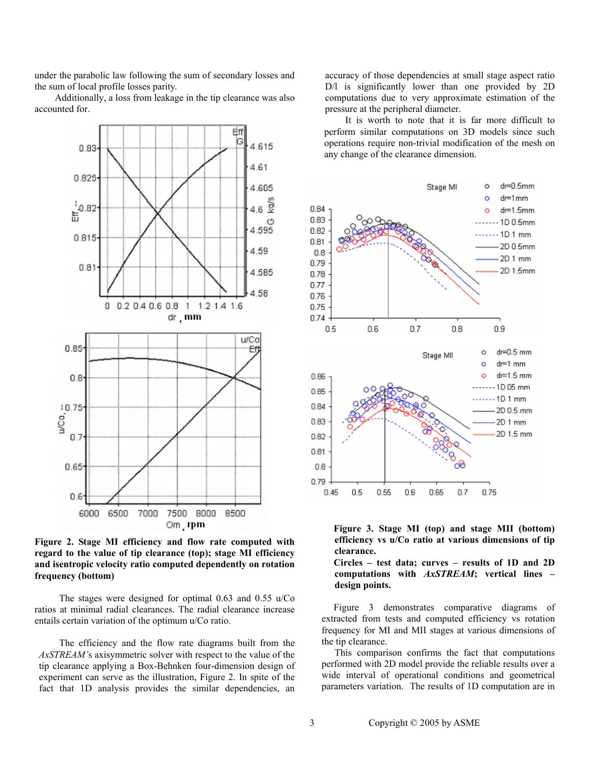under the parabolic law following the sum of secondary losses and the sum of local profile losses parity.

Additionally, a loss from leakage in the tip clearance was also accounted for.



**Figure 2. Stage MI efficiency and flow rate computed with regard to the value of tip clearance (top); stage MI efficiency and isentropic velocity ratio computed dependently on rotation frequency (bottom)** 

The stages were designed for optimal 0.63 and 0.55 u/Co ratios at minimal radial clearances. The radial clearance increase entails certain variation of the optimum u/Co ratio.

The efficiency and the flow rate diagrams built from the *AxSTREAM'*s axisymmetric solver with respect to the value of the tip clearance applying a Box-Behnken four-dimension design of experiment can serve as the illustration, Figure 2. In spite of the fact that 1D analysis provides the similar dependencies, an

accuracy of those dependencies at small stage aspect ratio D/l is significantly lower than one provided by 2D computations due to very approximate estimation of the pressure at the peripheral diameter.

It is worth to note that it is far more difficult to perform similar computations on 3D models since such operations require non-trivial modification of the mesh on any change of the clearance dimension.





**Circles – test data; curves – results of 1D and 2D computations with** *AxSTREAM***; vertical lines – design points.** 

Figure 3 demonstrates comparative diagrams of extracted from tests and computed efficiency vs rotation frequency for MI and MII stages at various dimensions of the tip clearance.

This comparison confirms the fact that computations performed with 2D model provide the reliable results over a wide interval of operational conditions and geometrical parameters variation. The results of 1D computation are in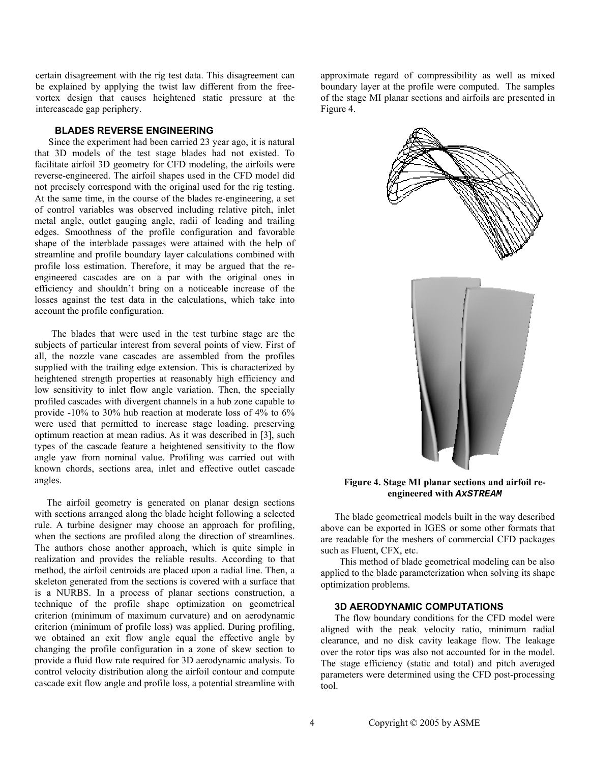certain disagreement with the rig test data. This disagreement can be explained by applying the twist law different from the freevortex design that causes heightened static pressure at the intercascade gap periphery.

#### **BLADES REVERSE ENGINEERING**

Since the experiment had been carried 23 year ago, it is natural that 3D models of the test stage blades had not existed. To facilitate airfoil 3D geometry for CFD modeling, the airfoils were reverse-engineered. The airfoil shapes used in the CFD model did not precisely correspond with the original used for the rig testing. At the same time, in the course of the blades re-engineering, a set of control variables was observed including relative pitch, inlet metal angle, outlet gauging angle, radii of leading and trailing edges. Smoothness of the profile configuration and favorable shape of the interblade passages were attained with the help of streamline and profile boundary layer calculations combined with profile loss estimation. Therefore, it may be argued that the reengineered cascades are on a par with the original ones in efficiency and shouldn't bring on a noticeable increase of the losses against the test data in the calculations, which take into account the profile configuration.

 The blades that were used in the test turbine stage are the subjects of particular interest from several points of view. First of all, the nozzle vane cascades are assembled from the profiles supplied with the trailing edge extension. This is characterized by heightened strength properties at reasonably high efficiency and low sensitivity to inlet flow angle variation. Then, the specially profiled cascades with divergent channels in a hub zone capable to provide -10% to 30% hub reaction at moderate loss of 4% to 6% were used that permitted to increase stage loading, preserving optimum reaction at mean radius. As it was described in [3], such types of the cascade feature a heightened sensitivity to the flow angle yaw from nominal value. Profiling was carried out with known chords, sections area, inlet and effective outlet cascade angles.

 The airfoil geometry is generated on planar design sections with sections arranged along the blade height following a selected rule. A turbine designer may choose an approach for profiling, when the sections are profiled along the direction of streamlines. The authors chose another approach, which is quite simple in realization and provides the reliable results. According to that method, the airfoil centroids are placed upon a radial line. Then, a skeleton generated from the sections is covered with a surface that is a NURBS. In a process of planar sections construction, a technique of the profile shape optimization on geometrical criterion (minimum of maximum curvature) and on aerodynamic criterion (minimum of profile loss) was applied. During profiling, we obtained an exit flow angle equal the effective angle by changing the profile configuration in a zone of skew section to provide a fluid flow rate required for 3D aerodynamic analysis. To control velocity distribution along the airfoil contour and compute cascade exit flow angle and profile loss, a potential streamline with

approximate regard of compressibility as well as mixed boundary layer at the profile were computed. The samples of the stage MI planar sections and airfoils are presented in Figure 4.



**Figure 4. Stage MI planar sections and airfoil reengineered with** *AxSTREAM*

The blade geometrical models built in the way described above can be exported in IGES or some other formats that are readable for the meshers of commercial CFD packages such as Fluent, CFX, etc.

 This method of blade geometrical modeling can be also applied to the blade parameterization when solving its shape optimization problems.

### **3D AERODYNAMIC COMPUTATIONS**

The flow boundary conditions for the CFD model were aligned with the peak velocity ratio, minimum radial clearance, and no disk cavity leakage flow. The leakage over the rotor tips was also not accounted for in the model. The stage efficiency (static and total) and pitch averaged parameters were determined using the CFD post-processing tool.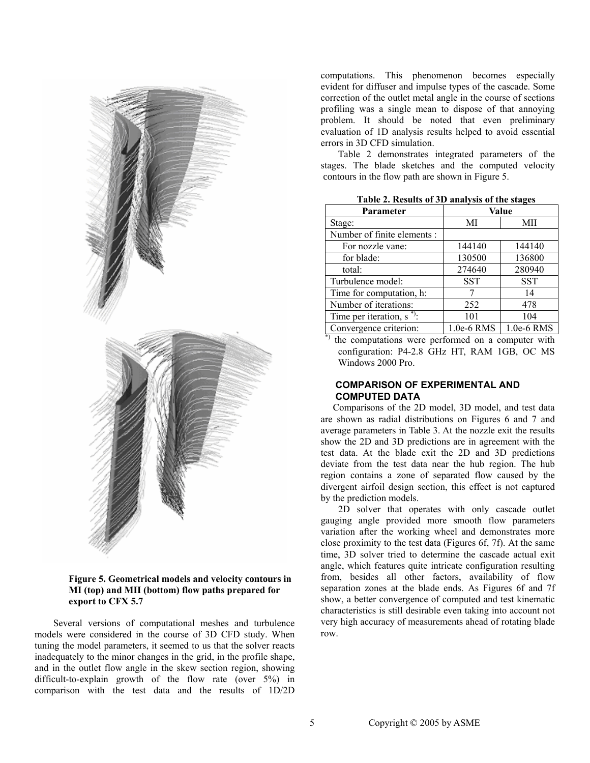

#### **Figure 5. Geometrical models and velocity contours in MI (top) and MII (bottom) flow paths prepared for export to CFX 5.7**

Several versions of computational meshes and turbulence models were considered in the course of 3D CFD study. When tuning the model parameters, it seemed to us that the solver reacts inadequately to the minor changes in the grid, in the profile shape, and in the outlet flow angle in the skew section region, showing difficult-to-explain growth of the flow rate (over 5%) in comparison with the test data and the results of 1D/2D

computations. This phenomenon becomes especially evident for diffuser and impulse types of the cascade. Some correction of the outlet metal angle in the course of sections profiling was a single mean to dispose of that annoying problem. It should be noted that even preliminary evaluation of 1D analysis results helped to avoid essential errors in 3D CFD simulation.

Table 2 demonstrates integrated parameters of the stages. The blade sketches and the computed velocity contours in the flow path are shown in Figure 5.

| Parameter                   | Value      |            |  |
|-----------------------------|------------|------------|--|
| Stage:                      | МI         | МII        |  |
| Number of finite elements : |            |            |  |
| For nozzle vane:            | 144140     | 144140     |  |
| for blade:                  | 130500     | 136800     |  |
| total:                      | 274640     | 280940     |  |
| Turbulence model:           | <b>SST</b> | <b>SST</b> |  |
| Time for computation, h:    |            | 14         |  |
| Number of iterations:       | 252        | 478        |  |
| Time per iteration, $s^*$ : | 101        | 104        |  |
| Convergence criterion:      | 1.0e-6 RMS | 1.0e-6 RMS |  |

**Table 2. Results of 3D analysis of the stages** 

the computations were performed on a computer with configuration: P4-2.8 GHz HT, RAM 1GB, OC MS Windows 2000 Pro.

### **COMPARISON OF EXPERIMENTAL AND COMPUTED DATA**

 Comparisons of the 2D model, 3D model, and test data are shown as radial distributions on Figures 6 and 7 and average parameters in Table 3. At the nozzle exit the results show the 2D and 3D predictions are in agreement with the test data. At the blade exit the 2D and 3D predictions deviate from the test data near the hub region. The hub region contains a zone of separated flow caused by the divergent airfoil design section, this effect is not captured by the prediction models.

2D solver that operates with only cascade outlet gauging angle provided more smooth flow parameters variation after the working wheel and demonstrates more close proximity to the test data (Figures 6f, 7f). At the same time, 3D solver tried to determine the cascade actual exit angle, which features quite intricate configuration resulting from, besides all other factors, availability of flow separation zones at the blade ends. As Figures 6f and 7f show, a better convergence of computed and test kinematic characteristics is still desirable even taking into account not very high accuracy of measurements ahead of rotating blade row.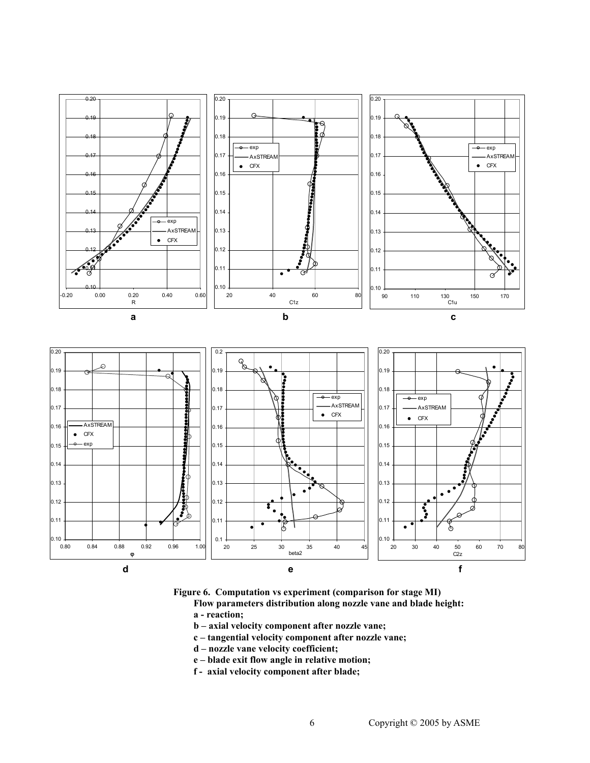

**Figure 6. Computation vs experiment (comparison for stage MI)** 

**Flow parameters distribution along nozzle vane and blade height:** 

- **a reaction;**
- **b axial velocity component after nozzle vane;**
- **c tangential velocity component after nozzle vane;**
- **d nozzle vane velocity coefficient;**
- **e blade exit flow angle in relative motion;**
- **f axial velocity component after blade;**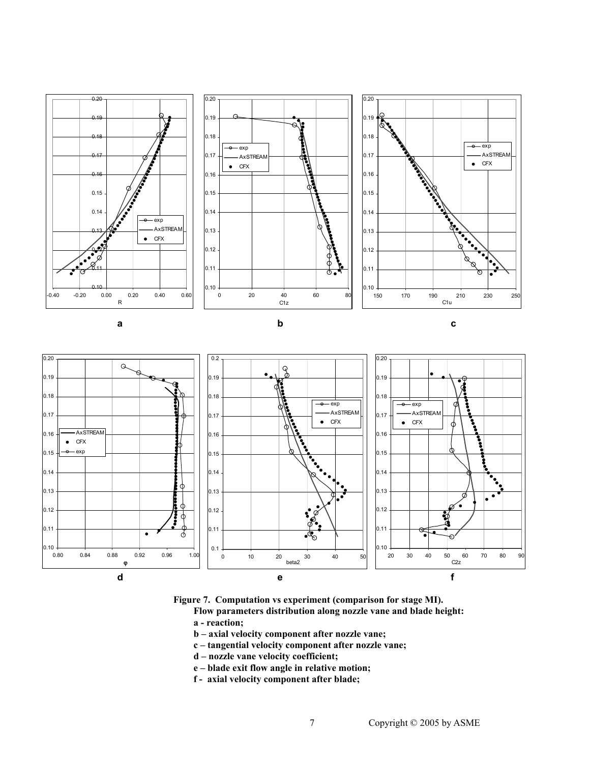

**Figure 7. Computation vs experiment (comparison for stage MI).** 

**Flow parameters distribution along nozzle vane and blade height:** 

- **a reaction;**
- **b axial velocity component after nozzle vane;**
- **c tangential velocity component after nozzle vane;**
- **d nozzle vane velocity coefficient;**
- **e blade exit flow angle in relative motion;**
- **f axial velocity component after blade;**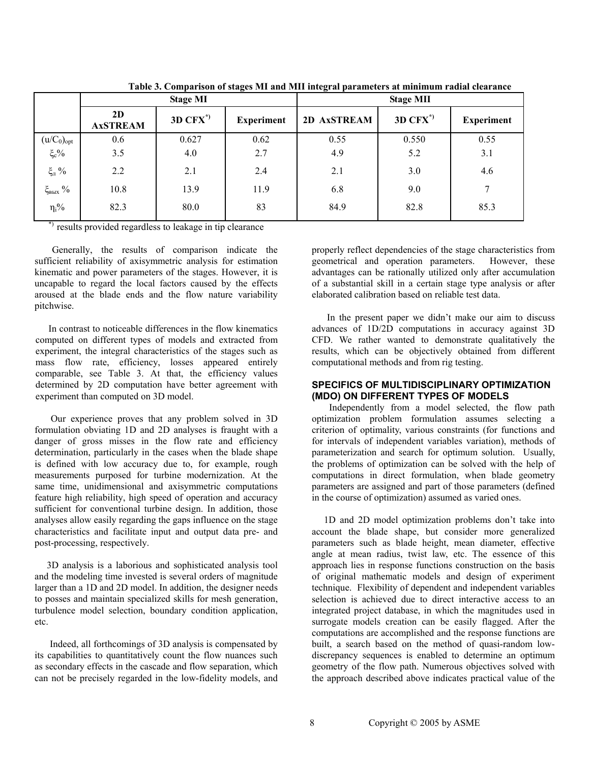|                                          | $\sim$<br><b>Stage MI</b> |                       |                   | $\epsilon$<br><b>Stage MII</b> |                       |                   |
|------------------------------------------|---------------------------|-----------------------|-------------------|--------------------------------|-----------------------|-------------------|
|                                          | 2D<br><b>AxSTREAM</b>     | $3D$ CFX <sup>*</sup> | <b>Experiment</b> | 2D AxSTREAM                    | $3D$ CFX <sup>*</sup> | <b>Experiment</b> |
| $(u/C_0)_{opt}$                          | 0.6                       | 0.627                 | 0.62              | 0.55                           | 0.550                 | 0.55              |
| $\xi_c$ %                                | 3.5                       | 4.0                   | 2.7               | 4.9                            | 5.2                   | 3.1               |
| $\xi_{\mbox{\tiny{J}}\mbox{\tiny{I}}}$ % | 2.2                       | 2.1                   | 2.4               | 2.1                            | 3.0                   | 4.6               |
| $\xi_{\rm{BBIX}}$ %                      | 10.8                      | 13.9                  | 11.9              | 6.8                            | 9.0                   | 7                 |
| $\eta_i$ %                               | 82.3                      | 80.0                  | 83                | 84.9                           | 82.8                  | 85.3              |

**Table 3. Comparison of stages MI and MII integral parameters at minimum radial clearance** 

\*) results provided regardless to leakage in tip clearance

Generally, the results of comparison indicate the sufficient reliability of axisymmetric analysis for estimation kinematic and power parameters of the stages. However, it is uncapable to regard the local factors caused by the effects aroused at the blade ends and the flow nature variability pitchwise.

In contrast to noticeable differences in the flow kinematics computed on different types of models and extracted from experiment, the integral characteristics of the stages such as mass flow rate, efficiency, losses appeared entirely comparable, see Table 3. At that, the efficiency values determined by 2D computation have better agreement with experiment than computed on 3D model.

Our experience proves that any problem solved in 3D formulation obviating 1D and 2D analyses is fraught with a danger of gross misses in the flow rate and efficiency determination, particularly in the cases when the blade shape is defined with low accuracy due to, for example, rough measurements purposed for turbine modernization. At the same time, unidimensional and axisymmetric computations feature high reliability, high speed of operation and accuracy sufficient for conventional turbine design. In addition, those analyses allow easily regarding the gaps influence on the stage characteristics and facilitate input and output data pre- and post-processing, respectively.

 3D analysis is a laborious and sophisticated analysis tool and the modeling time invested is several orders of magnitude larger than a 1D and 2D model. In addition, the designer needs to posses and maintain specialized skills for mesh generation, turbulence model selection, boundary condition application, etc.

Indeed, all forthcomings of 3D analysis is compensated by its capabilities to quantitatively count the flow nuances such as secondary effects in the cascade and flow separation, which can not be precisely regarded in the low-fidelity models, and

properly reflect dependencies of the stage characteristics from geometrical and operation parameters. However, these advantages can be rationally utilized only after accumulation of a substantial skill in a certain stage type analysis or after elaborated calibration based on reliable test data.

In the present paper we didn't make our aim to discuss advances of 1D/2D computations in accuracy against 3D CFD. We rather wanted to demonstrate qualitatively the results, which can be objectively obtained from different computational methods and from rig testing.

### **SPECIFICS OF MULTIDISCIPLINARY OPTIMIZATION (MDO) ON DIFFERENT TYPES OF MODELS**

Independently from a model selected, the flow path optimization problem formulation assumes selecting a criterion of optimality, various constraints (for functions and for intervals of independent variables variation), methods of parameterization and search for optimum solution. Usually, the problems of optimization can be solved with the help of computations in direct formulation, when blade geometry parameters are assigned and part of those parameters (defined in the course of optimization) assumed as varied ones.

 1D and 2D model optimization problems don't take into account the blade shape, but consider more generalized parameters such as blade height, mean diameter, effective angle at mean radius, twist law, etc. The essence of this approach lies in response functions construction on the basis of original mathematic models and design of experiment technique. Flexibility of dependent and independent variables selection is achieved due to direct interactive access to an integrated project database, in which the magnitudes used in surrogate models creation can be easily flagged. After the computations are accomplished and the response functions are built, a search based on the method of quasi-random lowdiscrepancy sequences is enabled to determine an optimum geometry of the flow path. Numerous objectives solved with the approach described above indicates practical value of the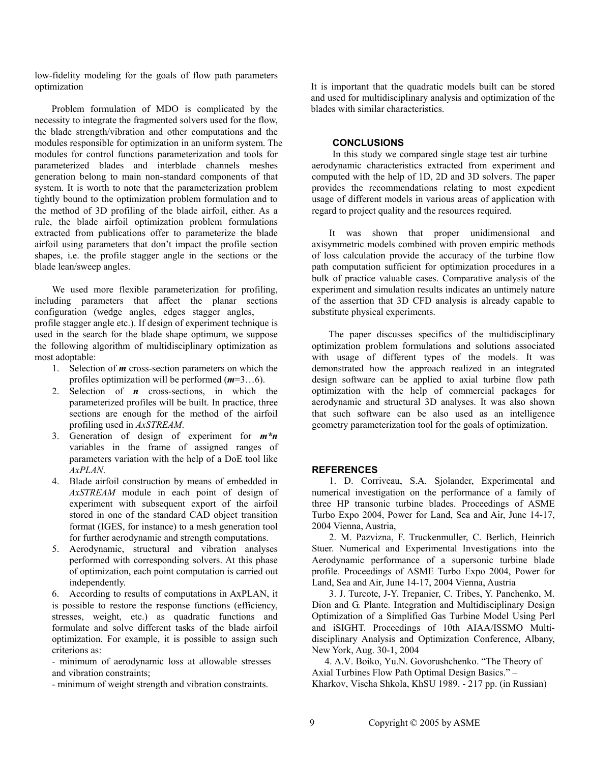low-fidelity modeling for the goals of flow path parameters optimization

 Problem formulation of MDO is complicated by the necessity to integrate the fragmented solvers used for the flow, the blade strength/vibration and other computations and the modules responsible for optimization in an uniform system. The modules for control functions parameterization and tools for parameterized blades and interblade channels meshes generation belong to main non-standard components of that system. It is worth to note that the parameterization problem tightly bound to the optimization problem formulation and to the method of 3D profiling of the blade airfoil, either. As a rule, the blade airfoil optimization problem formulations extracted from publications offer to parameterize the blade airfoil using parameters that don't impact the profile section shapes, i.e. the profile stagger angle in the sections or the blade lean/sweep angles.

We used more flexible parameterization for profiling, including parameters that affect the planar sections configuration (wedge angles, edges stagger angles, profile stagger angle etc.). If design of experiment technique is used in the search for the blade shape optimum, we suppose the following algorithm of multidisciplinary optimization as most adoptable:

- 1. Selection of *m* cross-section parameters on which the profiles optimization will be performed (*m*=3…6).
- 2. Selection of *n* cross-sections, in which the parameterized profiles will be built. In practice, three sections are enough for the method of the airfoil profiling used in *AxSTREAM*.
- 3. Generation of design of experiment for *m\*n* variables in the frame of assigned ranges of parameters variation with the help of a DoE tool like *AxPLAN*.
- 4. Blade airfoil construction by means of embedded in *AxSTREAM* module in each point of design of experiment with subsequent export of the airfoil stored in one of the standard CAD object transition format (IGES, for instance) to a mesh generation tool for further aerodynamic and strength computations.
- 5. Aerodynamic, structural and vibration analyses performed with corresponding solvers. At this phase of optimization, each point computation is carried out independently.

6. According to results of computations in AxPLAN, it is possible to restore the response functions (efficiency, stresses, weight, etc.) as quadratic functions and formulate and solve different tasks of the blade airfoil optimization. For example, it is possible to assign such criterions as:

- minimum of aerodynamic loss at allowable stresses and vibration constraints;

- minimum of weight strength and vibration constraints.

It is important that the quadratic models built can be stored and used for multidisciplinary analysis and optimization of the blades with similar characteristics.

### **CONCLUSIONS**

In this study we compared single stage test air turbine aerodynamic characteristics extracted from experiment and computed with the help of 1D, 2D and 3D solvers. The paper provides the recommendations relating to most expedient usage of different models in various areas of application with regard to project quality and the resources required.

It was shown that proper unidimensional and axisymmetric models combined with proven empiric methods of loss calculation provide the accuracy of the turbine flow path computation sufficient for optimization procedures in a bulk of practice valuable cases. Comparative analysis of the experiment and simulation results indicates an untimely nature of the assertion that 3D CFD analysis is already capable to substitute physical experiments.

 The paper discusses specifics of the multidisciplinary optimization problem formulations and solutions associated with usage of different types of the models. It was demonstrated how the approach realized in an integrated design software can be applied to axial turbine flow path optimization with the help of commercial packages for aerodynamic and structural 3D analyses. It was also shown that such software can be also used as an intelligence geometry parameterization tool for the goals of optimization.

## **REFERENCES**

1. D. Corriveau, S.A. Sjolander, Experimental and numerical investigation on the performance of a family of three HP transonic turbine blades. Proceedings of ASME Turbo Expo 2004, Power for Land, Sea and Air, June 14-17, 2004 Vienna, Austria,

2. M. Pazvizna, F. Truckenmuller, C. Berlich, Heinrich Stuer. Numerical and Experimental Investigations into the Aerodynamic performance of a supersonic turbine blade profile. Proceedings of ASME Turbo Expo 2004, Power for Land, Sea and Air, June 14-17, 2004 Vienna, Austria

3. J. Turcote, J-Y. Trepanier, C. Tribes, Y. Panchenko, M. Dion and G. Plante. Integration and Multidisciplinary Design Optimization of a Simplified Gas Turbine Model Using Perl and iSIGHT. Proceedings of 10th AIAA/ISSMO Multidisciplinary Analysis and Optimization Conference, Albany, New York, Aug. 30-1, 2004

4. A.V. Boiko, Yu.N. Govorushchenko. "The Theory of Axial Turbines Flow Path Optimal Design Basics." – Kharkov, Vischa Shkola, KhSU 1989. - 217 pp. (in Russian)